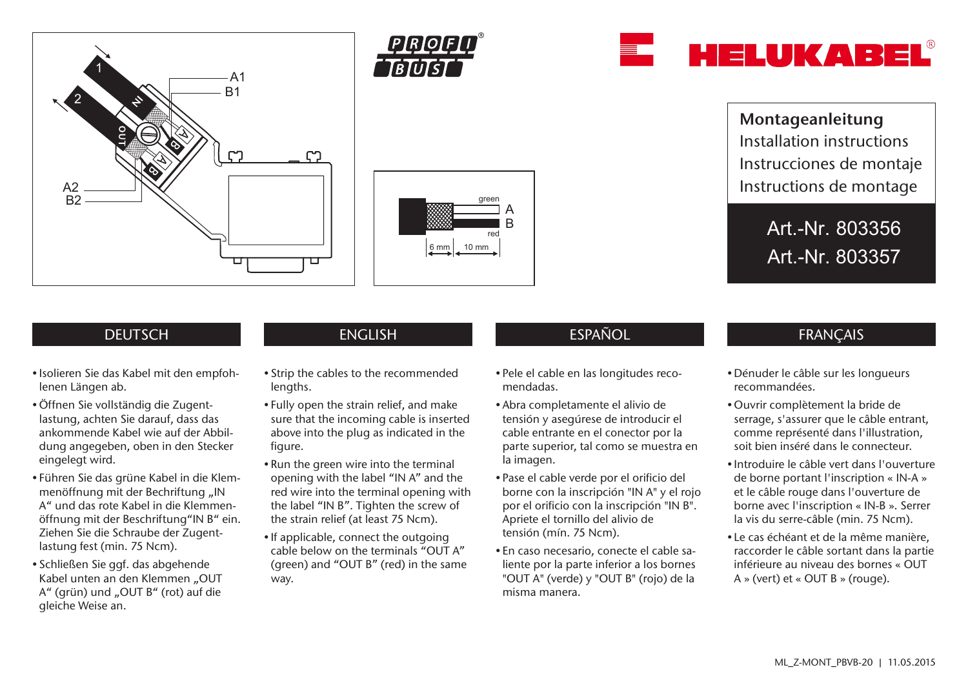







Montageanleitung Installation instructions Instrucciones de montaje Instructions de montage

> Art.-Nr. 803356 Art.-Nr. 803357

## **DEUTSCH**

- Isolieren Sie das Kabel mit den empfohlenen Längen ab.
- •Öffnen Sie vollständig die Zugentlastung, achten Sie darauf, dass das ankommende Kabel wie auf der Abbildung angegeben, oben in den Stecker eingelegt wird.
- Führen Sie das grüne Kabel in die Klemmenöffnung mit der Bechriftung "IN A" und das rote Kabel in die Klemmenöffnung mit der Beschriftung"IN B" ein. Ziehen Sie die Schraube der Zugentlastung fest (min. 75 Ncm).
- Schließen Sie ggf. das abgehende Kabel unten an den Klemmen "OUT A" (grün) und "OUT B" (rot) auf die gleiche Weise an.

- Strip the cables to the recommended lengths.
- Fully open the strain relief, and make sure that the incoming cable is inserted above into the plug as indicated in the figure.
- Run the green wire into the terminal opening with the label "IN A" and the red wire into the terminal opening with the label "IN B". Tighten the screw of the strain relief (at least 75 Ncm).
- If applicable, connect the outgoing cable below on the terminals "OUT A" (green) and "OUT B" (red) in the same way.

# ENGLISH ESPAÑOL ESPAÑOL FRANÇAIS

- Pele el cable en las longitudes recomendadas.
- Abra completamente el alivio de tensión y asegúrese de introducir el cable entrante en el conector por la parte superior, tal como se muestra en la imagen.
- Pase el cable verde por el orificio del borne con la inscripción "IN A" y el rojo por el orificio con la inscripción "IN B". Apriete el tornillo del alivio de tensión (mín. 75 Ncm).
- En caso necesario, conecte el cable saliente por la parte inferior a los bornes "OUT A" (verde) y "OUT B" (rojo) de la misma manera.

- Dénuder le câble sur les longueurs recommandées.
- •Ouvrir complètement la bride de serrage, s'assurer que le câble entrant, comme représenté dans l'illustration, soit bien inséré dans le connecteur.
- Introduire le câble vert dans l'ouverture de borne portant l'inscription « IN-A » et le câble rouge dans l'ouverture de borne avec l'inscription « IN-B ». Serrer la vis du serre-câble (min. 75 Ncm).
- Le cas échéant et de la même manière, raccorder le câble sortant dans la partie inférieure au niveau des bornes « OUT A » (vert) et « OUT B » (rouge).